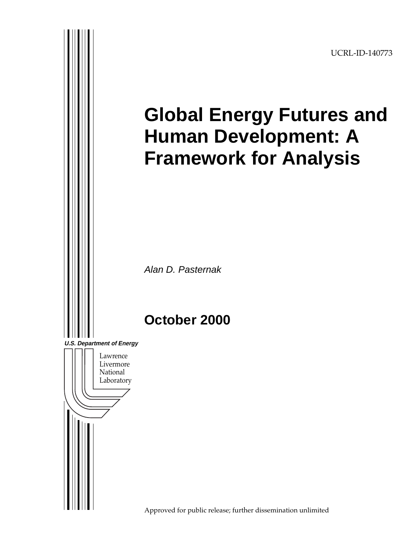UCRL-ID-140773

# **Global Energy Futures and Human Development: A Framework for Analysis** Alan D. Pasternak **October 2000** Lawrence Livermore National Laboratory **U.S. Department of Energy**

Approved for public release; further dissemination unlimited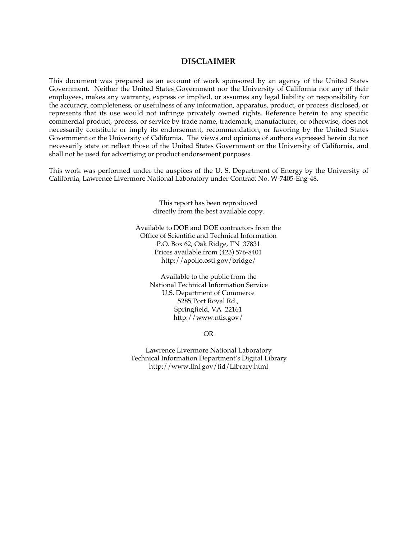#### **DISCLAIMER**

This document was prepared as an account of work sponsored by an agency of the United States Government. Neither the United States Government nor the University of California nor any of their employees, makes any warranty, express or implied, or assumes any legal liability or responsibility for the accuracy, completeness, or usefulness of any information, apparatus, product, or process disclosed, or represents that its use would not infringe privately owned rights. Reference herein to any specific commercial product, process, or service by trade name, trademark, manufacturer, or otherwise, does not necessarily constitute or imply its endorsement, recommendation, or favoring by the United States Government or the University of California. The views and opinions of authors expressed herein do not necessarily state or reflect those of the United States Government or the University of California, and shall not be used for advertising or product endorsement purposes.

This work was performed under the auspices of the U. S. Department of Energy by the University of California, Lawrence Livermore National Laboratory under Contract No. W-7405-Eng-48.

> This report has been reproduced directly from the best available copy.

Available to DOE and DOE contractors from the Office of Scientific and Technical Information P.O. Box 62, Oak Ridge, TN 37831 Prices available from (423) 576-8401 http://apollo.osti.gov/bridge/

Available to the public from the National Technical Information Service U.S. Department of Commerce 5285 Port Royal Rd., Springfield, VA 22161 http://www.ntis.gov/

OR

Lawrence Livermore National Laboratory Technical Information Department's Digital Library http://www.llnl.gov/tid/Library.html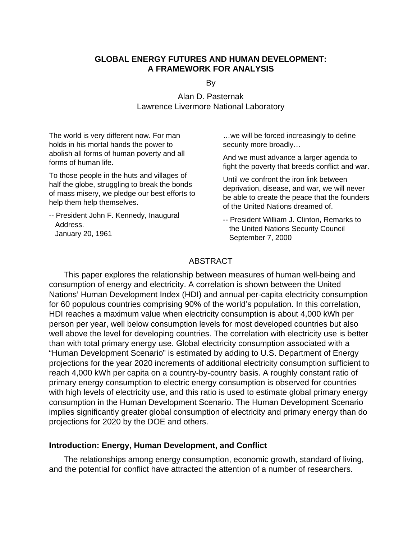## **GLOBAL ENERGY FUTURES AND HUMAN DEVELOPMENT: A FRAMEWORK FOR ANALYSIS**

By

Alan D. Pasternak Lawrence Livermore National Laboratory

The world is very different now. For man holds in his mortal hands the power to abolish all forms of human poverty and all forms of human life.

To those people in the huts and villages of half the globe, struggling to break the bonds of mass misery, we pledge our best efforts to help them help themselves.

-- President John F. Kennedy, Inaugural Address. January 20, 1961

…we will be forced increasingly to define security more broadly…

And we must advance a larger agenda to fight the poverty that breeds conflict and war.

Until we confront the iron link between deprivation, disease, and war, we will never be able to create the peace that the founders of the United Nations dreamed of.

-- President William J. Clinton, Remarks to the United Nations Security Council September 7, 2000

## ABSTRACT

This paper explores the relationship between measures of human well-being and consumption of energy and electricity. A correlation is shown between the United Nations' Human Development Index (HDI) and annual per-capita electricity consumption for 60 populous countries comprising 90% of the world's population. In this correlation, HDI reaches a maximum value when electricity consumption is about 4,000 kWh per person per year, well below consumption levels for most developed countries but also well above the level for developing countries. The correlation with electricity use is better than with total primary energy use. Global electricity consumption associated with a "Human Development Scenario" is estimated by adding to U.S. Department of Energy projections for the year 2020 increments of additional electricity consumption sufficient to reach 4,000 kWh per capita on a country-by-country basis. A roughly constant ratio of primary energy consumption to electric energy consumption is observed for countries with high levels of electricity use, and this ratio is used to estimate global primary energy consumption in the Human Development Scenario. The Human Development Scenario implies significantly greater global consumption of electricity and primary energy than do projections for 2020 by the DOE and others.

## **Introduction: Energy, Human Development, and Conflict**

The relationships among energy consumption, economic growth, standard of living, and the potential for conflict have attracted the attention of a number of researchers.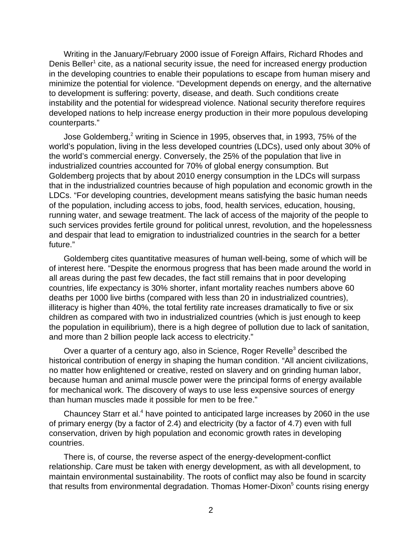Writing in the January/February 2000 issue of Foreign Affairs, Richard Rhodes and Denis Beller<sup>1</sup> cite, as a national security issue, the need for increased energy production in the developing countries to enable their populations to escape from human misery and minimize the potential for violence. "Development depends on energy, and the alternative to development is suffering: poverty, disease, and death. Such conditions create instability and the potential for widespread violence. National security therefore requires developed nations to help increase energy production in their more populous developing counterparts."

Jose Goldemberg,<sup>2</sup> writing in Science in 1995, observes that, in 1993, 75% of the world's population, living in the less developed countries (LDCs), used only about 30% of the world's commercial energy. Conversely, the 25% of the population that live in industrialized countries accounted for 70% of global energy consumption. But Goldemberg projects that by about 2010 energy consumption in the LDCs will surpass that in the industrialized countries because of high population and economic growth in the LDCs. "For developing countries, development means satisfying the basic human needs of the population, including access to jobs, food, health services, education, housing, running water, and sewage treatment. The lack of access of the majority of the people to such services provides fertile ground for political unrest, revolution, and the hopelessness and despair that lead to emigration to industrialized countries in the search for a better future."

Goldemberg cites quantitative measures of human well-being, some of which will be of interest here. "Despite the enormous progress that has been made around the world in all areas during the past few decades, the fact still remains that in poor developing countries, life expectancy is 30% shorter, infant mortality reaches numbers above 60 deaths per 1000 live births (compared with less than 20 in industrialized countries), illiteracy is higher than 40%, the total fertility rate increases dramatically to five or six children as compared with two in industrialized countries (which is just enough to keep the population in equilibrium), there is a high degree of pollution due to lack of sanitation, and more than 2 billion people lack access to electricity."

Over a quarter of a century ago, also in Science, Roger Revelle<sup>3</sup> described the historical contribution of energy in shaping the human condition. "All ancient civilizations, no matter how enlightened or creative, rested on slavery and on grinding human labor, because human and animal muscle power were the principal forms of energy available for mechanical work. The discovery of ways to use less expensive sources of energy than human muscles made it possible for men to be free."

Chauncey Starr et al.<sup>4</sup> have pointed to anticipated large increases by 2060 in the use of primary energy (by a factor of 2.4) and electricity (by a factor of 4.7) even with full conservation, driven by high population and economic growth rates in developing countries.

There is, of course, the reverse aspect of the energy-development-conflict relationship. Care must be taken with energy development, as with all development, to maintain environmental sustainability. The roots of conflict may also be found in scarcity that results from environmental degradation. Thomas Homer-Dixon<sup>5</sup> counts rising energy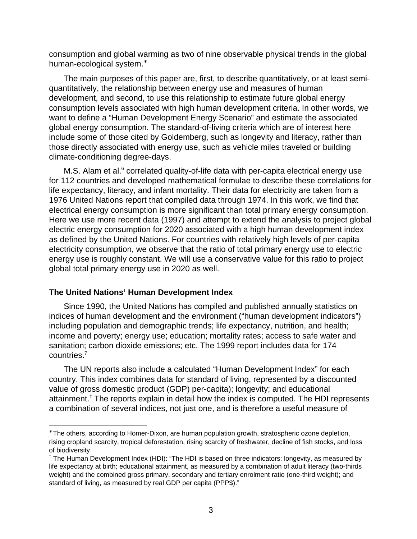consumption and global warming as two of nine observable physical trends in the global human-ecological system.<sup>∗</sup>

The main purposes of this paper are, first, to describe quantitatively, or at least semiquantitatively, the relationship between energy use and measures of human development, and second, to use this relationship to estimate future global energy consumption levels associated with high human development criteria. In other words, we want to define a "Human Development Energy Scenario" and estimate the associated global energy consumption. The standard-of-living criteria which are of interest here include some of those cited by Goldemberg, such as longevity and literacy, rather than those directly associated with energy use, such as vehicle miles traveled or building climate-conditioning degree-days.

M.S. Alam et al.<sup>6</sup> correlated quality-of-life data with per-capita electrical energy use for 112 countries and developed mathematical formulae to describe these correlations for life expectancy, literacy, and infant mortality. Their data for electricity are taken from a 1976 United Nations report that compiled data through 1974. In this work, we find that electrical energy consumption is more significant than total primary energy consumption. Here we use more recent data (1997) and attempt to extend the analysis to project global electric energy consumption for 2020 associated with a high human development index as defined by the United Nations. For countries with relatively high levels of per-capita electricity consumption, we observe that the ratio of total primary energy use to electric energy use is roughly constant. We will use a conservative value for this ratio to project global total primary energy use in 2020 as well.

## **The United Nations' Human Development Index**

1

Since 1990, the United Nations has compiled and published annually statistics on indices of human development and the environment ("human development indicators") including population and demographic trends; life expectancy, nutrition, and health; income and poverty; energy use; education; mortality rates; access to safe water and sanitation; carbon dioxide emissions; etc. The 1999 report includes data for 174 countries.7

The UN reports also include a calculated "Human Development Index" for each country. This index combines data for standard of living, represented by a discounted value of gross domestic product (GDP) per-capita); longevity; and educational attainment.<sup>†</sup> The reports explain in detail how the index is computed. The HDI represents a combination of several indices, not just one, and is therefore a useful measure of

<sup>∗</sup> The others, according to Homer-Dixon, are human population growth, stratospheric ozone depletion, rising cropland scarcity, tropical deforestation, rising scarcity of freshwater, decline of fish stocks, and loss of biodiversity.

<sup>†</sup> The Human Development Index (HDI): "The HDI is based on three indicators: longevity, as measured by life expectancy at birth; educational attainment, as measured by a combination of adult literacy (two-thirds weight) and the combined gross primary, secondary and tertiary enrolment ratio (one-third weight); and standard of living, as measured by real GDP per capita (PPP\$)."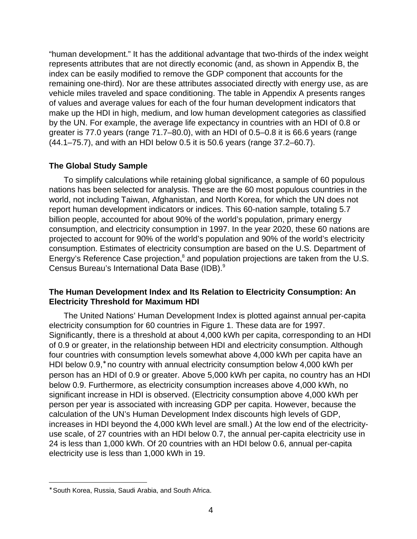"human development." It has the additional advantage that two-thirds of the index weight represents attributes that are not directly economic (and, as shown in Appendix B, the index can be easily modified to remove the GDP component that accounts for the remaining one-third). Nor are these attributes associated directly with energy use, as are vehicle miles traveled and space conditioning. The table in Appendix A presents ranges of values and average values for each of the four human development indicators that make up the HDI in high, medium, and low human development categories as classified by the UN. For example, the average life expectancy in countries with an HDI of 0.8 or greater is 77.0 years (range 71.7–80.0), with an HDI of 0.5–0.8 it is 66.6 years (range (44.1–75.7), and with an HDI below 0.5 it is 50.6 years (range 37.2–60.7).

## **The Global Study Sample**

To simplify calculations while retaining global significance, a sample of 60 populous nations has been selected for analysis. These are the 60 most populous countries in the world, not including Taiwan, Afghanistan, and North Korea, for which the UN does not report human development indicators or indices. This 60-nation sample, totaling 5.7 billion people, accounted for about 90% of the world's population, primary energy consumption, and electricity consumption in 1997. In the year 2020, these 60 nations are projected to account for 90% of the world's population and 90% of the world's electricity consumption. Estimates of electricity consumption are based on the U.S. Department of Energy's Reference Case projection, $^8$  and population projections are taken from the U.S. Census Bureau's International Data Base (IDB).9

## **The Human Development Index and Its Relation to Electricity Consumption: An Electricity Threshold for Maximum HDI**

The United Nations' Human Development Index is plotted against annual per-capita electricity consumption for 60 countries in Figure 1. These data are for 1997. Significantly, there is a threshold at about 4,000 kWh per capita, corresponding to an HDI of 0.9 or greater, in the relationship between HDI and electricity consumption. Although four countries with consumption levels somewhat above 4,000 kWh per capita have an HDI below 0.9,<sup>\*</sup> no country with annual electricity consumption below 4,000 kWh per person has an HDI of 0.9 or greater. Above 5,000 kWh per capita, no country has an HDI below 0.9. Furthermore, as electricity consumption increases above 4,000 kWh, no significant increase in HDI is observed. (Electricity consumption above 4,000 kWh per person per year is associated with increasing GDP per capita. However, because the calculation of the UN's Human Development Index discounts high levels of GDP, increases in HDI beyond the 4,000 kWh level are small.) At the low end of the electricityuse scale, of 27 countries with an HDI below 0.7, the annual per-capita electricity use in 24 is less than 1,000 kWh. Of 20 countries with an HDI below 0.6, annual per-capita electricity use is less than 1,000 kWh in 19.

 $\overline{a}$ 

<sup>∗</sup> South Korea, Russia, Saudi Arabia, and South Africa.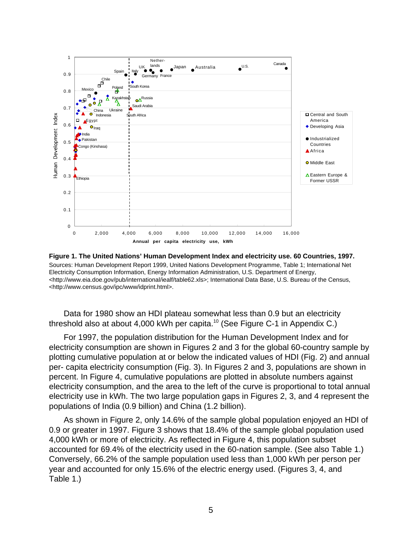

**Figure 1. The United Nations' Human Development Index and electricity use. 60 Countries, 1997.** Sources: Human Development Report 1999, United Nations Development Programme, Table 1; International Net Electricity Consumption Information, Energy Information Administration, U.S. Department of Energy, <http://www.eia.doe.gov/pub/international/iealf/table62.xls>; International Data Base, U.S. Bureau of the Census, <http://www.census.gov/ipc/www/idprint.html>.

Data for 1980 show an HDI plateau somewhat less than 0.9 but an electricity threshold also at about 4,000 kWh per capita.<sup>10</sup> (See Figure C-1 in Appendix C.)

For 1997, the population distribution for the Human Development Index and for electricity consumption are shown in Figures 2 and 3 for the global 60-country sample by plotting cumulative population at or below the indicated values of HDI (Fig. 2) and annual per- capita electricity consumption (Fig. 3). In Figures 2 and 3, populations are shown in percent. In Figure 4, cumulative populations are plotted in absolute numbers against electricity consumption, and the area to the left of the curve is proportional to total annual electricity use in kWh. The two large population gaps in Figures 2, 3, and 4 represent the populations of India (0.9 billion) and China (1.2 billion).

As shown in Figure 2, only 14.6% of the sample global population enjoyed an HDI of 0.9 or greater in 1997. Figure 3 shows that 18.4% of the sample global population used 4,000 kWh or more of electricity. As reflected in Figure 4, this population subset accounted for 69.4% of the electricity used in the 60-nation sample. (See also Table 1.) Conversely, 66.2% of the sample population used less than 1,000 kWh per person per year and accounted for only 15.6% of the electric energy used. (Figures 3, 4, and Table 1.)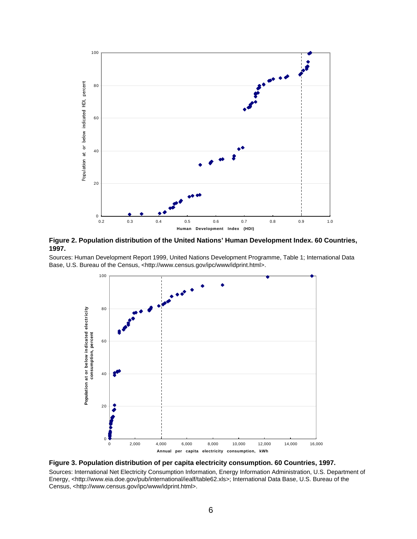

**Figure 2. Population distribution of the United Nations' Human Development Index. 60 Countries, 1997.**

Sources: Human Development Report 1999, United Nations Development Programme, Table 1; International Data Base, U.S. Bureau of the Census, <http://www.census.gov/ipc/www/idprint.html>.



**Figure 3. Population distribution of per capita electricity consumption. 60 Countries, 1997.**

Sources: International Net Electricity Consumption Information, Energy Information Administration, U.S. Department of Energy, <http://www.eia.doe.gov/pub/international/iealf/table62.xls>; International Data Base, U.S. Bureau of the Census, <http://www.census.gov/ipc/www/idprint.html>.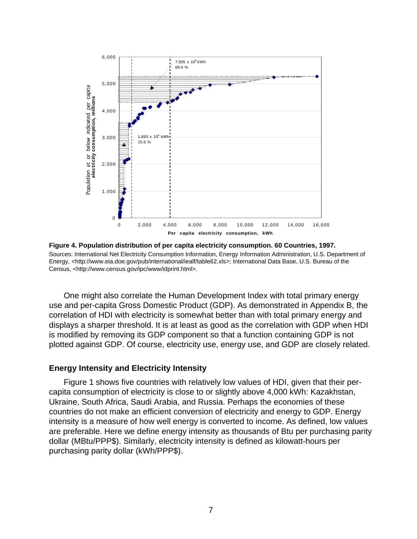

**Figure 4. Population distribution of per capita electricity consumption. 60 Countries, 1997.** Sources: International Net Electricity Consumption Information, Energy Information Administration, U.S. Department of Energy, <http://www.eia.doe.gov/pub/international/iealf/table62.xls>; International Data Base, U.S. Bureau of the Census, <http://www.census.gov/ipc/www/idprint.html>.

One might also correlate the Human Development Index with total primary energy use and per-capita Gross Domestic Product (GDP). As demonstrated in Appendix B, the correlation of HDI with electricity is somewhat better than with total primary energy and displays a sharper threshold. It is at least as good as the correlation with GDP when HDI is modified by removing its GDP component so that a function containing GDP is not plotted against GDP. Of course, electricity use, energy use, and GDP are closely related.

#### **Energy Intensity and Electricity Intensity**

Figure 1 shows five countries with relatively low values of HDI, given that their percapita consumption of electricity is close to or slightly above 4,000 kWh: Kazakhstan, Ukraine, South Africa, Saudi Arabia, and Russia. Perhaps the economies of these countries do not make an efficient conversion of electricity and energy to GDP. Energy intensity is a measure of how well energy is converted to income. As defined, low values are preferable. Here we define energy intensity as thousands of Btu per purchasing parity dollar (MBtu/PPP\$). Similarly, electricity intensity is defined as kilowatt-hours per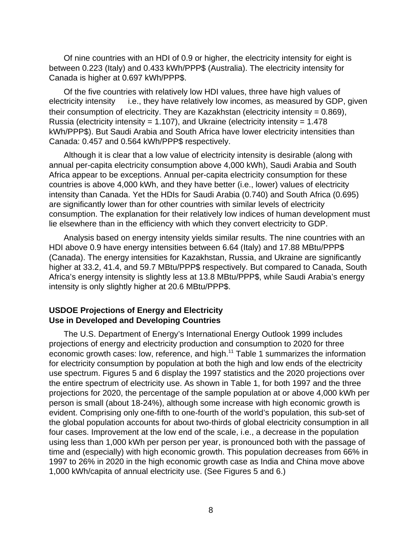Of nine countries with an HDI of 0.9 or higher, the electricity intensity for eight is between 0.223 (Italy) and 0.433 kWh/PPP\$ (Australia). The electricity intensity for Canada is higher at 0.697 kWh/PPP\$.

Of the five countries with relatively low HDI values, three have high values of electricity intensity  $-$  i.e., they have relatively low incomes, as measured by GDP, given their consumption of electricity. They are Kazakhstan (electricity intensity = 0.869), Russia (electricity intensity = 1.107), and Ukraine (electricity intensity =  $1.478$ kWh/PPP\$). But Saudi Arabia and South Africa have lower electricity intensities than Canada: 0.457 and 0.564 kWh/PPP\$ respectively.

Although it is clear that a low value of electricity intensity is desirable (along with annual per-capita electricity consumption above 4,000 kWh), Saudi Arabia and South Africa appear to be exceptions. Annual per-capita electricity consumption for these countries is above 4,000 kWh, and they have better (i.e., lower) values of electricity intensity than Canada. Yet the HDIs for Saudi Arabia (0.740) and South Africa (0.695) are significantly lower than for other countries with similar levels of electricity consumption. The explanation for their relatively low indices of human development must lie elsewhere than in the efficiency with which they convert electricity to GDP.

Analysis based on energy intensity yields similar results. The nine countries with an HDI above 0.9 have energy intensities between 6.64 (Italy) and 17.88 MBtu/PPP\$ (Canada). The energy intensities for Kazakhstan, Russia, and Ukraine are significantly higher at 33.2, 41.4, and 59.7 MBtu/PPP\$ respectively. But compared to Canada, South Africa's energy intensity is slightly less at 13.8 MBtu/PPP\$, while Saudi Arabia's energy intensity is only slightly higher at 20.6 MBtu/PPP\$.

## **USDOE Projections of Energy and Electricity Use in Developed and Developing Countries**

The U.S. Department of Energy's International Energy Outlook 1999 includes projections of energy and electricity production and consumption to 2020 for three economic growth cases: low, reference, and high.11 Table 1 summarizes the information for electricity consumption by population at both the high and low ends of the electricity use spectrum. Figures 5 and 6 display the 1997 statistics and the 2020 projections over the entire spectrum of electricity use. As shown in Table 1, for both 1997 and the three projections for 2020, the percentage of the sample population at or above 4,000 kWh per person is small (about 18-24%), although some increase with high economic growth is evident. Comprising only one-fifth to one-fourth of the world's population, this sub-set of the global population accounts for about two-thirds of global electricity consumption in all four cases. Improvement at the low end of the scale, i.e., a decrease in the population using less than 1,000 kWh per person per year, is pronounced both with the passage of time and (especially) with high economic growth. This population decreases from 66% in 1997 to 26% in 2020 in the high economic growth case as India and China move above 1,000 kWh/capita of annual electricity use. (See Figures 5 and 6.)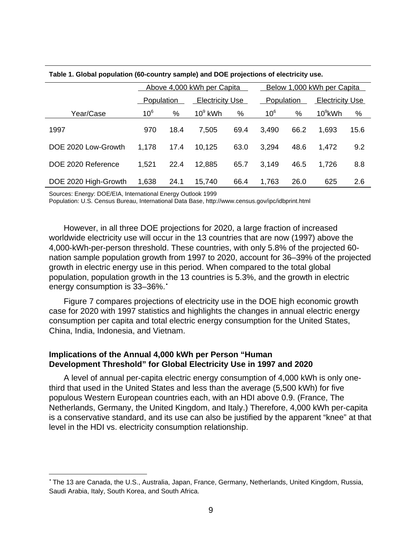|                      |                   | Above 4,000 kWh per Capita |                        |      |                   | Below 1,000 kWh per Capita |                        |      |  |
|----------------------|-------------------|----------------------------|------------------------|------|-------------------|----------------------------|------------------------|------|--|
|                      | <b>Population</b> |                            | <b>Electricity Use</b> |      | <b>Population</b> |                            | <b>Electricity Use</b> |      |  |
| Year/Case            | 10 <sup>6</sup>   | %                          | $10^9$ kWh             | %    | 10 <sup>6</sup>   | %                          | $10^9$ kWh             | %    |  |
| 1997                 | 970               | 18.4                       | 7,505                  | 69.4 | 3,490             | 66.2                       | 1,693                  | 15.6 |  |
| DOE 2020 Low-Growth  | 1,178             | 17.4                       | 10,125                 | 63.0 | 3,294             | 48.6                       | 1,472                  | 9.2  |  |
| DOE 2020 Reference   | 1.521             | 22.4                       | 12,885                 | 65.7 | 3.149             | 46.5                       | 1,726                  | 8.8  |  |
| DOE 2020 High-Growth | 1,638             | 24.1                       | 15,740                 | 66.4 | 1,763             | 26.0                       | 625                    | 2.6  |  |

#### **Table 1. Global population (60-country sample) and DOE projections of electricity use.**

Sources: Energy: DOE/EIA, International Energy Outlook 1999

 $\overline{a}$ 

Population: U.S. Census Bureau, International Data Base, http://www.census.gov/ipc/idbprint.html

However, in all three DOE projections for 2020, a large fraction of increased worldwide electricity use will occur in the 13 countries that are now (1997) above the 4,000-kWh-per-person threshold. These countries, with only 5.8% of the projected 60 nation sample population growth from 1997 to 2020, account for 36–39% of the projected growth in electric energy use in this period. When compared to the total global population, population growth in the 13 countries is 5.3%, and the growth in electric energy consumption is 33-36%.

Figure 7 compares projections of electricity use in the DOE high economic growth case for 2020 with 1997 statistics and highlights the changes in annual electric energy consumption per capita and total electric energy consumption for the United States, China, India, Indonesia, and Vietnam.

## **Implications of the Annual 4,000 kWh per Person "Human Development Threshold" for Global Electricity Use in 1997 and 2020**

A level of annual per-capita electric energy consumption of 4,000 kWh is only onethird that used in the United States and less than the average (5,500 kWh) for five populous Western European countries each, with an HDI above 0.9. (France, The Netherlands, Germany, the United Kingdom, and Italy.) Therefore, 4,000 kWh per-capita is a conservative standard, and its use can also be justified by the apparent "knee" at that level in the HDI vs. electricity consumption relationship.

<sup>•</sup> The 13 are Canada, the U.S., Australia, Japan, France, Germany, Netherlands, United Kingdom, Russia, Saudi Arabia, Italy, South Korea, and South Africa.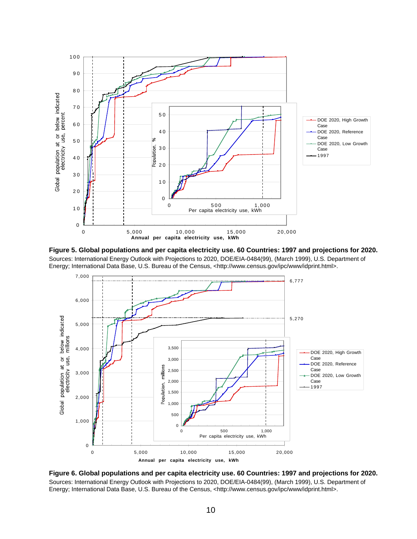





**Figure 6. Global populations and per capita electricity use. 60 Countries: 1997 and projections for 2020.** Sources: International Energy Outlook with Projections to 2020, DOE/EIA-0484(99), (March 1999), U.S. Department of Energy; International Data Base, U.S. Bureau of the Census, <http://www.census.gov/ipc/www/idprint.html>.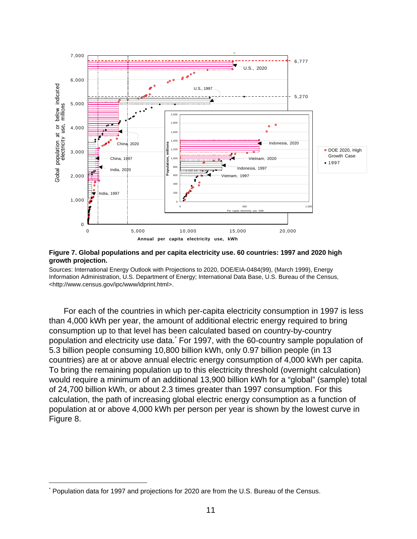

#### **Figure 7. Global populations and per capita electricity use. 60 countries: 1997 and 2020 high growth projection.**

Sources: International Energy Outlook with Projections to 2020, DOE/EIA-0484(99), (March 1999), Energy Information Administration, U.S. Department of Energy; International Data Base, U.S. Bureau of the Census, <http://www.census.gov/ipc/www/idprint.html>.

For each of the countries in which per-capita electricity consumption in 1997 is less than 4,000 kWh per year, the amount of additional electric energy required to bring consumption up to that level has been calculated based on country-by-country population and electricity use data.\* For 1997, with the 60-country sample population of 5.3 billion people consuming 10,800 billion kWh, only 0.97 billion people (in 13 countries) are at or above annual electric energy consumption of 4,000 kWh per capita. To bring the remaining population up to this electricity threshold (overnight calculation) would require a minimum of an additional 13,900 billion kWh for a "global" (sample) total of 24,700 billion kWh, or about 2.3 times greater than 1997 consumption. For this calculation, the path of increasing global electric energy consumption as a function of population at or above 4,000 kWh per person per year is shown by the lowest curve in Figure 8. Population and electricity use data. For 1997, with the Go-countries and projections for 2020 are from the U.S. Bureau of the Census.<br>The Center of the Center of the Center of the Center of the Center of the Center of the

1

<sup>\*</sup>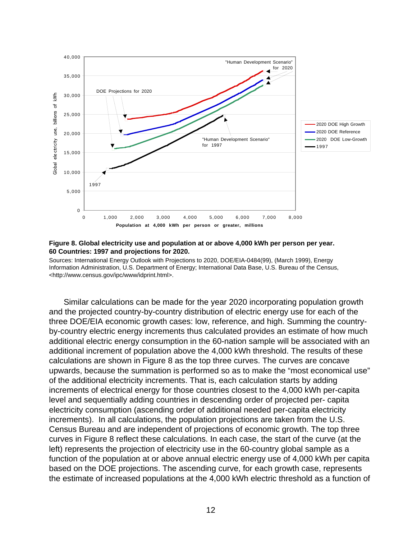

#### **Figure 8. Global electricity use and population at or above 4,000 kWh per person per year. 60 Countries: 1997 and projections for 2020.**

Sources: International Energy Outlook with Projections to 2020, DOE/EIA-0484(99), (March 1999), Energy Information Administration, U.S. Department of Energy; International Data Base, U.S. Bureau of the Census, <http://www.census.gov/ipc/www/idprint.html>.

Similar calculations can be made for the year 2020 incorporating population growth and the projected country-by-country distribution of electric energy use for each of the three DOE/EIA economic growth cases: low, reference, and high. Summing the countryby-country electric energy increments thus calculated provides an estimate of how much additional electric energy consumption in the 60-nation sample will be associated with an additional increment of population above the 4,000 kWh threshold. The results of these calculations are shown in Figure 8 as the top three curves. The curves are concave upwards, because the summation is performed so as to make the "most economical use" of the additional electricity increments. That is, each calculation starts by adding increments of electrical energy for those countries closest to the 4,000 kWh per-capita level and sequentially adding countries in descending order of projected per- capita electricity consumption (ascending order of additional needed per-capita electricity increments). In all calculations, the population projections are taken from the U.S. Census Bureau and are independent of projections of economic growth. The top three curves in Figure 8 reflect these calculations. In each case, the start of the curve (at the left) represents the projection of electricity use in the 60-country global sample as a function of the population at or above annual electric energy use of 4,000 kWh per capita based on the DOE projections. The ascending curve, for each growth case, represents the estimate of increased populations at the 4,000 kWh electric threshold as a function of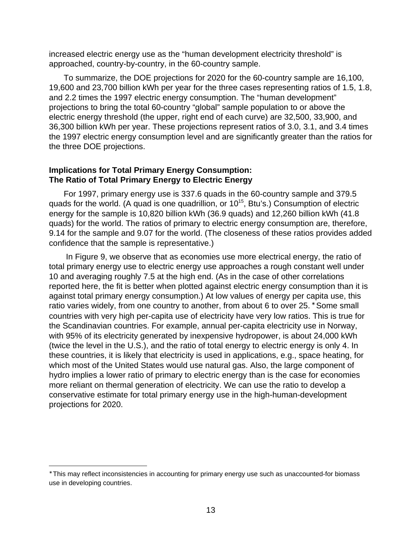increased electric energy use as the "human development electricity threshold" is approached, country-by-country, in the 60-country sample.

To summarize, the DOE projections for 2020 for the 60-country sample are 16,100, 19,600 and 23,700 billion kWh per year for the three cases representing ratios of 1.5, 1.8, and 2.2 times the 1997 electric energy consumption. The "human development" projections to bring the total 60-country "global" sample population to or above the electric energy threshold (the upper, right end of each curve) are 32,500, 33,900, and 36,300 billion kWh per year. These projections represent ratios of 3.0, 3.1, and 3.4 times the 1997 electric energy consumption level and are significantly greater than the ratios for the three DOE projections.

## **Implications for Total Primary Energy Consumption: The Ratio of Total Primary Energy to Electric Energy**

For 1997, primary energy use is 337.6 quads in the 60-country sample and 379.5 quads for the world. (A quad is one quadrillion, or  $10^{15}$ , Btu's.) Consumption of electric energy for the sample is 10,820 billion kWh (36.9 quads) and 12,260 billion kWh (41.8 quads) for the world. The ratios of primary to electric energy consumption are, therefore, 9.14 for the sample and 9.07 for the world. (The closeness of these ratios provides added confidence that the sample is representative.)

 In Figure 9, we observe that as economies use more electrical energy, the ratio of total primary energy use to electric energy use approaches a rough constant well under 10 and averaging roughly 7.5 at the high end. (As in the case of other correlations reported here, the fit is better when plotted against electric energy consumption than it is against total primary energy consumption.) At low values of energy per capita use, this ratio varies widely, from one country to another, from about 6 to over 25. \* Some small countries with very high per-capita use of electricity have very low ratios. This is true for the Scandinavian countries. For example, annual per-capita electricity use in Norway, with 95% of its electricity generated by inexpensive hydropower, is about 24,000 kWh (twice the level in the U.S.), and the ratio of total energy to electric energy is only 4. In these countries, it is likely that electricity is used in applications, e.g., space heating, for which most of the United States would use natural gas. Also, the large component of hydro implies a lower ratio of primary to electric energy than is the case for economies more reliant on thermal generation of electricity. We can use the ratio to develop a conservative estimate for total primary energy use in the high-human-development projections for 2020.

 $\overline{a}$ 

<sup>∗</sup> This may reflect inconsistencies in accounting for primary energy use such as unaccounted-for biomass use in developing countries.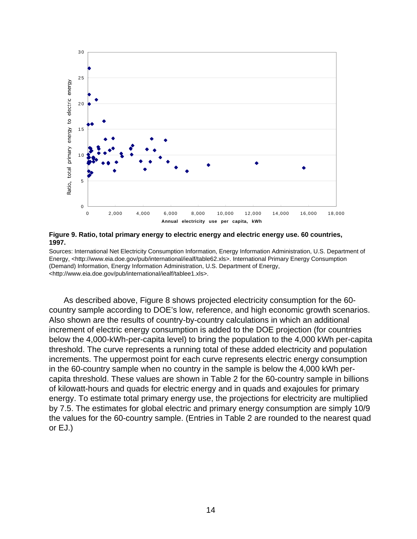

**Figure 9. Ratio, total primary energy to electric energy and electric energy use. 60 countries, 1997.**

Sources: International Net Electricity Consumption Information, Energy Information Administration, U.S. Department of Energy, <http://www.eia.doe.gov/pub/international/iealf/table62.xls>. International Primary Energy Consumption (Demand) Information, Energy Information Administration, U.S. Department of Energy, <http://www.eia.doe.gov/pub/international/iealf/tablee1.xls>.

As described above, Figure 8 shows projected electricity consumption for the 60 country sample according to DOE's low, reference, and high economic growth scenarios. Also shown are the results of country-by-country calculations in which an additional increment of electric energy consumption is added to the DOE projection (for countries below the 4,000-kWh-per-capita level) to bring the population to the 4,000 kWh per-capita threshold. The curve represents a running total of these added electricity and population increments. The uppermost point for each curve represents electric energy consumption in the 60-country sample when no country in the sample is below the 4,000 kWh percapita threshold. These values are shown in Table 2 for the 60-country sample in billions of kilowatt-hours and quads for electric energy and in quads and exajoules for primary energy. To estimate total primary energy use, the projections for electricity are multiplied by 7.5. The estimates for global electric and primary energy consumption are simply 10/9 the values for the 60-country sample. (Entries in Table 2 are rounded to the nearest quad or EJ.)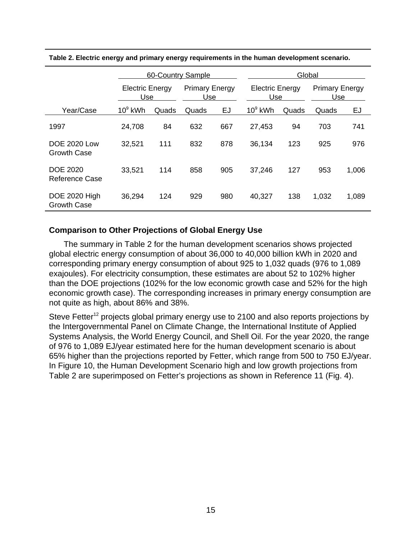|                                           | 60-Country Sample             |       |                              |     | Global                        |       |                              |       |
|-------------------------------------------|-------------------------------|-------|------------------------------|-----|-------------------------------|-------|------------------------------|-------|
|                                           | <b>Electric Energy</b><br>Use |       | <b>Primary Energy</b><br>Use |     | <b>Electric Energy</b><br>Use |       | <b>Primary Energy</b><br>Use |       |
| Year/Case                                 | $10^9$ kWh                    | Quads | Quads                        | EJ  | $10^9$ kWh                    | Quads | Quads                        | EJ    |
| 1997                                      | 24,708                        | 84    | 632                          | 667 | 27,453                        | 94    | 703                          | 741   |
| <b>DOE 2020 Low</b><br><b>Growth Case</b> | 32,521                        | 111   | 832                          | 878 | 36,134                        | 123   | 925                          | 976   |
| <b>DOE 2020</b><br>Reference Case         | 33,521                        | 114   | 858                          | 905 | 37,246                        | 127   | 953                          | 1,006 |
| DOE 2020 High<br><b>Growth Case</b>       | 36,294                        | 124   | 929                          | 980 | 40,327                        | 138   | 1,032                        | 1,089 |

**Table 2. Electric energy and primary energy requirements in the human development scenario.**

## **Comparison to Other Projections of Global Energy Use**

The summary in Table 2 for the human development scenarios shows projected global electric energy consumption of about 36,000 to 40,000 billion kWh in 2020 and corresponding primary energy consumption of about 925 to 1,032 quads (976 to 1,089 exajoules). For electricity consumption, these estimates are about 52 to 102% higher than the DOE projections (102% for the low economic growth case and 52% for the high economic growth case). The corresponding increases in primary energy consumption are not quite as high, about 86% and 38%.

Steve Fetter<sup>12</sup> projects global primary energy use to 2100 and also reports projections by the Intergovernmental Panel on Climate Change, the International Institute of Applied Systems Analysis, the World Energy Council, and Shell Oil. For the year 2020, the range of 976 to 1,089 EJ/year estimated here for the human development scenario is about 65% higher than the projections reported by Fetter, which range from 500 to 750 EJ/year. In Figure 10, the Human Development Scenario high and low growth projections from Table 2 are superimposed on Fetter's projections as shown in Reference 11 (Fig. 4).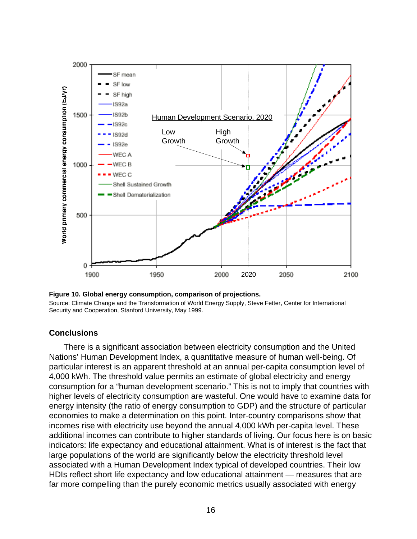

**Figure 10. Global energy consumption, comparison of projections.** Source: Climate Change and the Transformation of World Energy Supply, Steve Fetter, Center for International Security and Cooperation, Stanford University, May 1999.

## **Conclusions**

There is a significant association between electricity consumption and the United Nations' Human Development Index, a quantitative measure of human well-being. Of particular interest is an apparent threshold at an annual per-capita consumption level of 4,000 kWh. The threshold value permits an estimate of global electricity and energy consumption for a "human development scenario." This is not to imply that countries with higher levels of electricity consumption are wasteful. One would have to examine data for energy intensity (the ratio of energy consumption to GDP) and the structure of particular economies to make a determination on this point. Inter-country comparisons show that incomes rise with electricity use beyond the annual 4,000 kWh per-capita level. These additional incomes can contribute to higher standards of living. Our focus here is on basic indicators: life expectancy and educational attainment. What is of interest is the fact that large populations of the world are significantly below the electricity threshold level associated with a Human Development Index typical of developed countries. Their low HDIs reflect short life expectancy and low educational attainment — measures that are far more compelling than the purely economic metrics usually associated with energy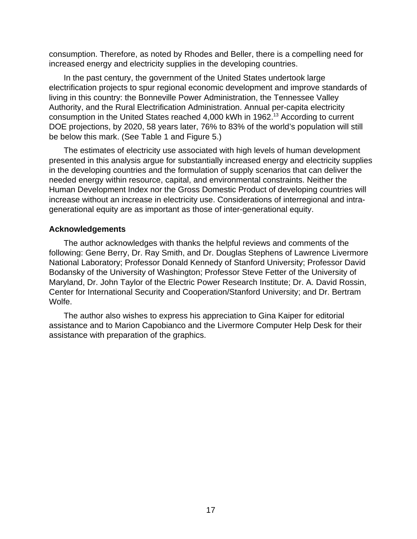consumption. Therefore, as noted by Rhodes and Beller, there is a compelling need for increased energy and electricity supplies in the developing countries.

In the past century, the government of the United States undertook large electrification projects to spur regional economic development and improve standards of living in this country: the Bonneville Power Administration, the Tennessee Valley Authority, and the Rural Electrification Administration. Annual per-capita electricity consumption in the United States reached 4,000 kWh in 1962.13 According to current DOE projections, by 2020, 58 years later, 76% to 83% of the world's population will still be below this mark. (See Table 1 and Figure 5.)

The estimates of electricity use associated with high levels of human development presented in this analysis argue for substantially increased energy and electricity supplies in the developing countries and the formulation of supply scenarios that can deliver the needed energy within resource, capital, and environmental constraints. Neither the Human Development Index nor the Gross Domestic Product of developing countries will increase without an increase in electricity use. Considerations of interregional and intragenerational equity are as important as those of inter-generational equity.

## **Acknowledgements**

The author acknowledges with thanks the helpful reviews and comments of the following: Gene Berry, Dr. Ray Smith, and Dr. Douglas Stephens of Lawrence Livermore National Laboratory; Professor Donald Kennedy of Stanford University; Professor David Bodansky of the University of Washington; Professor Steve Fetter of the University of Maryland, Dr. John Taylor of the Electric Power Research Institute; Dr. A. David Rossin, Center for International Security and Cooperation/Stanford University; and Dr. Bertram Wolfe.

The author also wishes to express his appreciation to Gina Kaiper for editorial assistance and to Marion Capobianco and the Livermore Computer Help Desk for their assistance with preparation of the graphics.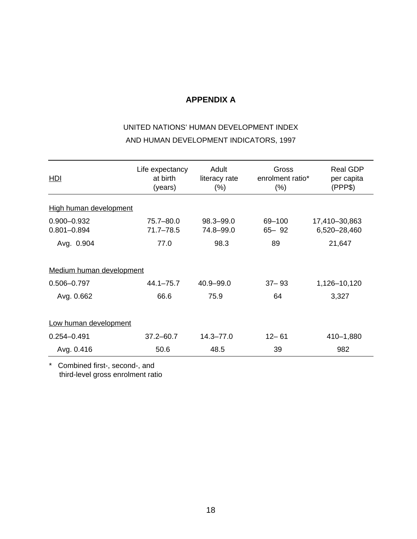## **APPENDIX A**

# UNITED NATIONS' HUMAN DEVELOPMENT INDEX AND HUMAN DEVELOPMENT INDICATORS, 1997

| <b>HDI</b>                         | Life expectancy<br>at birth<br>(years) | Adult<br>literacy rate<br>$(\% )$ | Gross<br>enrolment ratio*<br>(% ) | <b>Real GDP</b><br>per capita<br>(PPP\$) |  |  |  |  |
|------------------------------------|----------------------------------------|-----------------------------------|-----------------------------------|------------------------------------------|--|--|--|--|
| High human development             |                                        |                                   |                                   |                                          |  |  |  |  |
| $0.900 - 0.932$<br>$0.801 - 0.894$ | 75.7-80.0<br>$71.7 - 78.5$             | 98.3-99.0<br>74.8-99.0            | 69-100<br>$65 - 92$               | 17,410-30,863<br>6,520-28,460            |  |  |  |  |
| Avg. 0.904                         | 77.0                                   | 98.3                              | 89                                | 21,647                                   |  |  |  |  |
| Medium human development           |                                        |                                   |                                   |                                          |  |  |  |  |
| $0.506 - 0.797$                    | $44.1 - 75.7$                          | $40.9 - 99.0$                     | $37 - 93$                         | 1,126-10,120                             |  |  |  |  |
| Avg. 0.662                         | 66.6                                   | 75.9                              | 64                                | 3,327                                    |  |  |  |  |
| Low human development              |                                        |                                   |                                   |                                          |  |  |  |  |
| $0.254 - 0.491$                    | $37.2 - 60.7$                          | $14.3 - 77.0$                     | $12 - 61$                         | 410-1,880                                |  |  |  |  |
| Avg. 0.416                         | 50.6                                   | 48.5                              | 39                                | 982                                      |  |  |  |  |

\* Combined first-, second-, and third-level gross enrolment ratio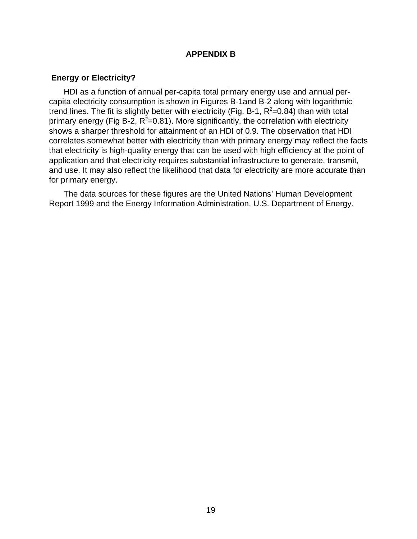## **APPENDIX B**

## **Energy or Electricity?**

HDI as a function of annual per-capita total primary energy use and annual percapita electricity consumption is shown in Figures B-1and B-2 along with logarithmic trend lines. The fit is slightly better with electricity (Fig. B-1,  $R^2$ =0.84) than with total primary energy (Fig B-2,  $R^2$ =0.81). More significantly, the correlation with electricity shows a sharper threshold for attainment of an HDI of 0.9. The observation that HDI correlates somewhat better with electricity than with primary energy may reflect the facts that electricity is high-quality energy that can be used with high efficiency at the point of application and that electricity requires substantial infrastructure to generate, transmit, and use. It may also reflect the likelihood that data for electricity are more accurate than for primary energy.

The data sources for these figures are the United Nations' Human Development Report 1999 and the Energy Information Administration, U.S. Department of Energy.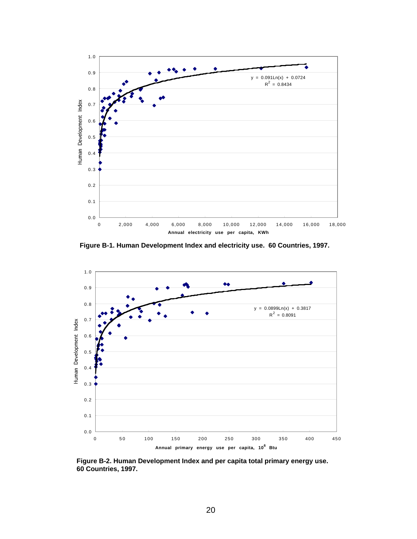

**Figure B-1. Human Development Index and electricity use. 60 Countries, 1997.**



**Figure B-2. Human Development Index and per capita total primary energy use. 60 Countries, 1997.**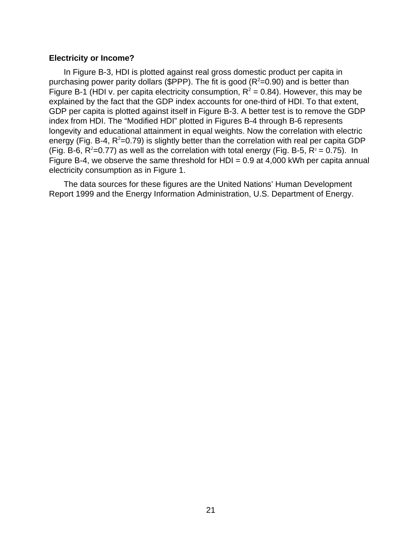## **Electricity or Income?**

In Figure B-3, HDI is plotted against real gross domestic product per capita in purchasing power parity dollars (\$PPP). The fit is good ( $R^2$ =0.90) and is better than Figure B-1 (HDI v. per capita electricity consumption,  $R^2 = 0.84$ ). However, this may be explained by the fact that the GDP index accounts for one-third of HDI. To that extent, GDP per capita is plotted against itself in Figure B-3. A better test is to remove the GDP index from HDI. The "Modified HDI" plotted in Figures B-4 through B-6 represents longevity and educational attainment in equal weights. Now the correlation with electric energy (Fig. B-4,  $R^2$ =0.79) is slightly better than the correlation with real per capita GDP (Fig. B-6, R<sup>2</sup>=0.77) as well as the correlation with total energy (Fig. B-5, R<sup>2</sup> = 0.75). In Figure B-4, we observe the same threshold for HDI =  $0.9$  at 4,000 kWh per capita annual electricity consumption as in Figure 1.

The data sources for these figures are the United Nations' Human Development Report 1999 and the Energy Information Administration, U.S. Department of Energy.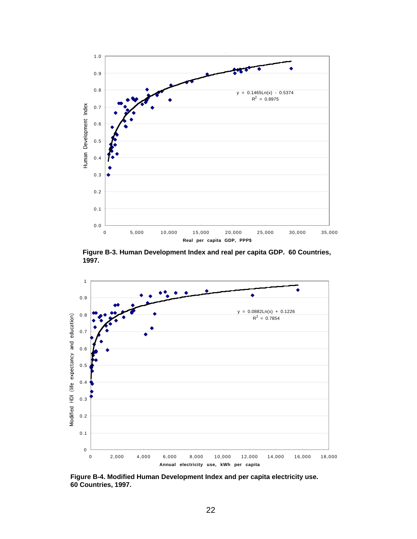

**Figure B-3. Human Development Index and real per capita GDP. 60 Countries, 1997.**



**Figure B-4. Modified Human Development Index and per capita electricity use. 60 Countries, 1997.**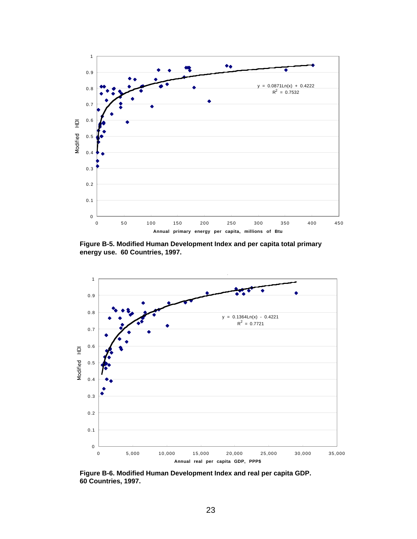

**Figure B-5. Modified Human Development Index and per capita total primary energy use. 60 Countries, 1997.**



**Figure B-6. Modified Human Development Index and real per capita GDP. 60 Countries, 1997.**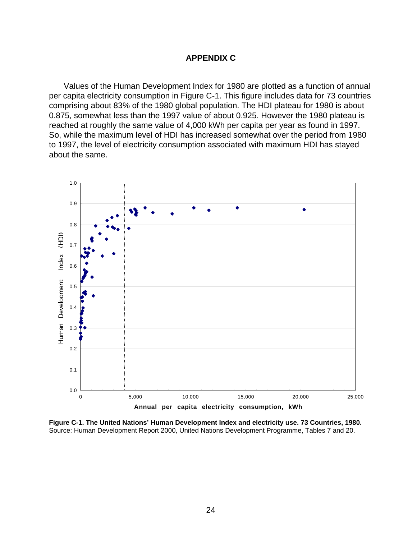## **APPENDIX C**

Values of the Human Development Index for 1980 are plotted as a function of annual per capita electricity consumption in Figure C-1. This figure includes data for 73 countries comprising about 83% of the 1980 global population. The HDI plateau for 1980 is about 0.875, somewhat less than the 1997 value of about 0.925. However the 1980 plateau is reached at roughly the same value of 4,000 kWh per capita per year as found in 1997. So, while the maximum level of HDI has increased somewhat over the period from 1980 to 1997, the level of electricity consumption associated with maximum HDI has stayed about the same.



**Figure C-1. The United Nations' Human Development Index and electricity use. 73 Countries, 1980.** Source: Human Development Report 2000, United Nations Development Programme, Tables 7 and 20.